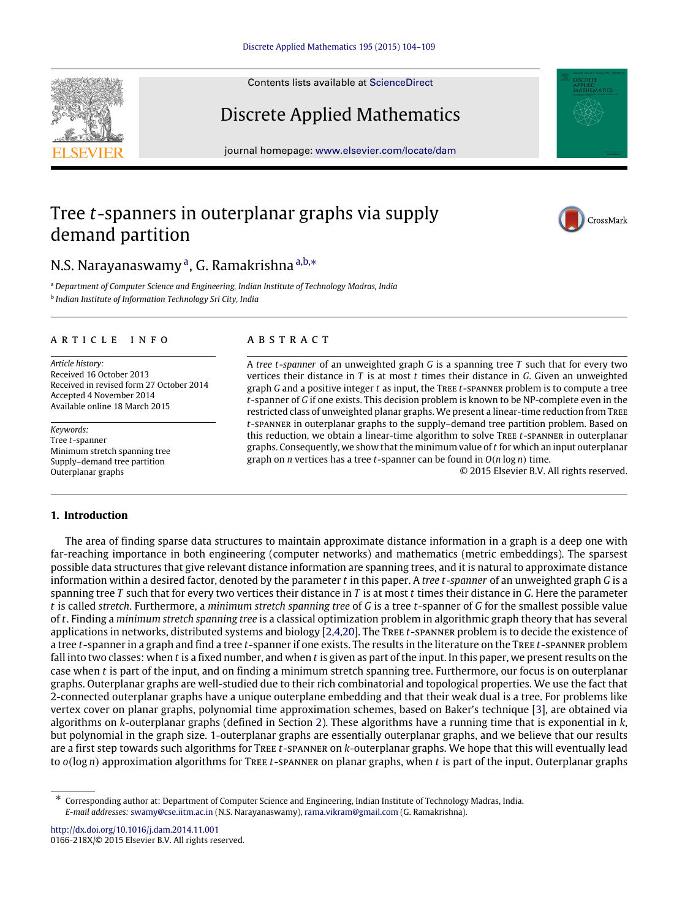Contents lists available at [ScienceDirect](http://www.elsevier.com/locate/dam)

# Discrete Applied Mathematics

journal homepage: [www.elsevier.com/locate/dam](http://www.elsevier.com/locate/dam)

## Tree *t*-spanners in outerplanar graphs via supply demand partition

## N.S. N[a](#page-0-0)rayanaswamy<sup>a</sup>, G. Ramakrishna <sup>[a,](#page-0-0)[b,](#page-0-1)</sup>\*

<span id="page-0-1"></span><span id="page-0-0"></span><sup>a</sup> *Department of Computer Science and Engineering, Indian Institute of Technology Madras, India* b *Indian Institute of Information Technology Sri City, India*

#### ARTICLE INFO

*Article history:* Received 16 October 2013 Received in revised form 27 October 2014 Accepted 4 November 2014 Available online 18 March 2015

*Keywords:* Tree *t*-spanner Minimum stretch spanning tree Supply–demand tree partition Outerplanar graphs

### **1. Introduction**

### a b s t r a c t

A *tree t*-*spanner* of an unweighted graph *G* is a spanning tree *T* such that for every two vertices their distance in *T* is at most *t* times their distance in *G*. Given an unweighted graph *G* and a positive integer *t* as input, the Tree *t*-spanner problem is to compute a tree *t*-spanner of *G* if one exists. This decision problem is known to be NP-complete even in the restricted class of unweighted planar graphs. We present a linear-time reduction from Tree *t*-spanner in outerplanar graphs to the supply–demand tree partition problem. Based on this reduction, we obtain a linear-time algorithm to solve Tree *t*-spanner in outerplanar graphs. Consequently, we show that the minimum value of *t* for which an input outerplanar graph on *n* vertices has a tree *t*-spanner can be found in *O*(*n* log *n*) time.

© 2015 Elsevier B.V. All rights reserved.

The area of finding sparse data structures to maintain approximate distance information in a graph is a deep one with far-reaching importance in both engineering (computer networks) and mathematics (metric embeddings). The sparsest possible data structures that give relevant distance information are spanning trees, and it is natural to approximate distance information within a desired factor, denoted by the parameter *t* in this paper. A *tree t*-*spanner* of an unweighted graph *G* is a spanning tree *T* such that for every two vertices their distance in *T* is at most *t* times their distance in *G*. Here the parameter *t* is called *stretch*. Furthermore, a *minimum stretch spanning tree* of *G* is a tree *t*-spanner of *G* for the smallest possible value of *t*. Finding a *minimum stretch spanning tree* is a classical optimization problem in algorithmic graph theory that has several applications in networks, distributed systems and biology [\[2](#page-5-0)[,4,](#page-5-1)[20\]](#page-5-2). The Tree *t*-spanner problem is to decide the existence of a tree *t*-spanner in a graph and find a tree *t*-spanner if one exists. The results in the literature on the Tree *t*-spanner problem fall into two classes: when *t* is a fixed number, and when *t* is given as part of the input. In this paper, we present results on the case when *t* is part of the input, and on finding a minimum stretch spanning tree. Furthermore, our focus is on outerplanar graphs. Outerplanar graphs are well-studied due to their rich combinatorial and topological properties. We use the fact that 2-connected outerplanar graphs have a unique outerplane embedding and that their weak dual is a tree. For problems like vertex cover on planar graphs, polynomial time approximation schemes, based on Baker's technique [\[3\]](#page-5-3), are obtained via algorithms on *k*-outerplanar graphs (defined in Section [2\)](#page-2-0). These algorithms have a running time that is exponential in *k*, but polynomial in the graph size. 1-outerplanar graphs are essentially outerplanar graphs, and we believe that our results are a first step towards such algorithms for Tree *t*-spanner on *k*-outerplanar graphs. We hope that this will eventually lead to *o*(log *n*) approximation algorithms for Tree *t*-spanner on planar graphs, when *t* is part of the input. Outerplanar graphs

<http://dx.doi.org/10.1016/j.dam.2014.11.001> 0166-218X/© 2015 Elsevier B.V. All rights reserved.





<span id="page-0-2"></span><sup>∗</sup> Corresponding author at: Department of Computer Science and Engineering, Indian Institute of Technology Madras, India. *E-mail addresses:* [swamy@cse.iitm.ac.in](mailto:swamy@cse.iitm.ac.in) (N.S. Narayanaswamy), [rama.vikram@gmail.com](mailto:rama.vikram@gmail.com) (G. Ramakrishna).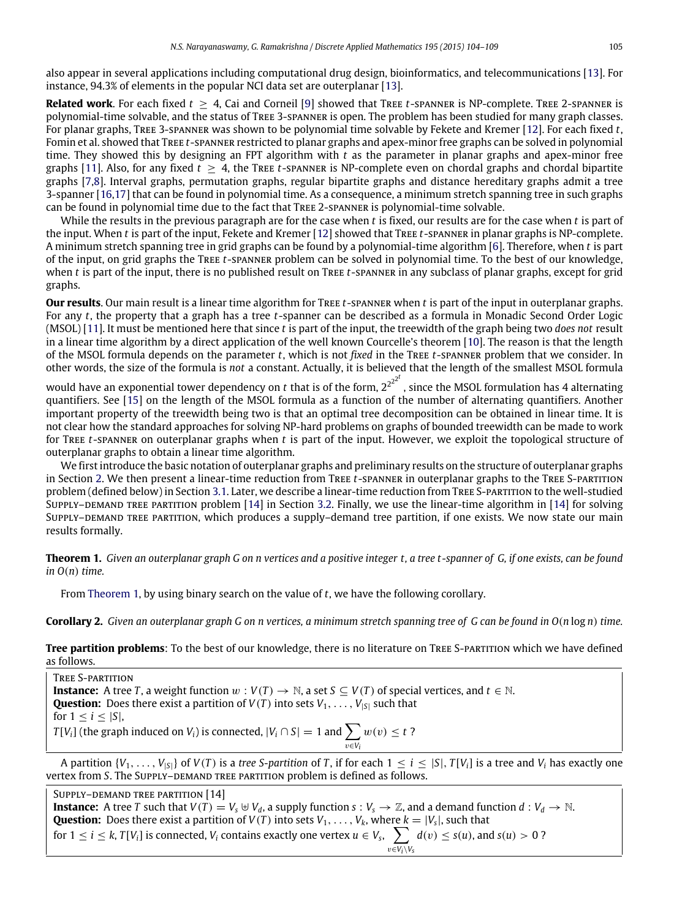also appear in several applications including computational drug design, bioinformatics, and telecommunications [\[13\]](#page-5-4). For instance, 94.3% of elements in the popular NCI data set are outerplanar [\[13\]](#page-5-4).

**Related work**. For each fixed  $t \geq 4$ , Cai and Corneil [\[9\]](#page-5-5) showed that TREE t-SPANNER is NP-complete. TREE 2-SPANNER is polynomial-time solvable, and the status of Tree 3-spanner is open. The problem has been studied for many graph classes. For planar graphs, Tree 3-spanner was shown to be polynomial time solvable by Fekete and Kremer [\[12\]](#page-5-6). For each fixed *t*, Fomin et al. showed that Tree *t*-spanner restricted to planar graphs and apex-minor free graphs can be solved in polynomial time. They showed this by designing an FPT algorithm with *t* as the parameter in planar graphs and apex-minor free graphs [\[11\]](#page-5-7). Also, for any fixed  $t > 4$ , the Tree  $t$ -spanner is NP-complete even on chordal graphs and chordal bipartite graphs [\[7,](#page-5-8)[8\]](#page-5-9). Interval graphs, permutation graphs, regular bipartite graphs and distance hereditary graphs admit a tree 3-spanner [\[16](#page-5-10)[,17\]](#page-5-11) that can be found in polynomial time. As a consequence, a minimum stretch spanning tree in such graphs can be found in polynomial time due to the fact that Tree 2-spanner is polynomial-time solvable.

While the results in the previous paragraph are for the case when *t* is fixed, our results are for the case when *t* is part of the input. When *t* is part of the input, Fekete and Kremer [\[12\]](#page-5-6) showed that Tree *t*-spanner in planar graphs is NP-complete. A minimum stretch spanning tree in grid graphs can be found by a polynomial-time algorithm [\[6\]](#page-5-12). Therefore, when *t* is part of the input, on grid graphs the Tree *t*-spanner problem can be solved in polynomial time. To the best of our knowledge, when *t* is part of the input, there is no published result on Tree *t*-spanner in any subclass of planar graphs, except for grid graphs.

**Our results**. Our main result is a linear time algorithm for Tree *t*-spanner when *t* is part of the input in outerplanar graphs. For any *t*, the property that a graph has a tree *t*-spanner can be described as a formula in Monadic Second Order Logic (MSOL) [\[11\]](#page-5-7). It must be mentioned here that since *t* is part of the input, the treewidth of the graph being two *does not* result in a linear time algorithm by a direct application of the well known Courcelle's theorem [\[10\]](#page-5-13). The reason is that the length of the MSOL formula depends on the parameter *t*, which is not *fixed* in the Tree *t*-spanner problem that we consider. In other words, the size of the formula is *not* a constant. Actually, it is believed that the length of the smallest MSOL formula

would have an exponential tower dependency on *t* that is of the form, 2<sup>22<sup>t</sup></sup>, since the MSOL formulation has 4 alternating quantifiers. See [\[15\]](#page-5-14) on the length of the MSOL formula as a function of the number of alternating quantifiers. Another important property of the treewidth being two is that an optimal tree decomposition can be obtained in linear time. It is not clear how the standard approaches for solving NP-hard problems on graphs of bounded treewidth can be made to work for Tree *t*-spanner on outerplanar graphs when *t* is part of the input. However, we exploit the topological structure of outerplanar graphs to obtain a linear time algorithm.

We first introduce the basic notation of outerplanar graphs and preliminary results on the structure of outerplanar graphs in Section [2.](#page-2-0) We then present a linear-time reduction from Tree *t*-spanner in outerplanar graphs to the Tree S-partition problem (defined below) in Section [3.1.](#page-2-1) Later, we describe a linear-time reduction from Tree S-partition to the well-studied SUPPLY–DEMAND TREE PARTITION problem [\[14\]](#page-5-15) in Section [3.2.](#page-4-0) Finally, we use the linear-time algorithm in [14] for solving SUPPLY–DEMAND TREE PARTITION, which produces a supply–demand tree partition, if one exists. We now state our main results formally.

<span id="page-1-0"></span>**Theorem 1.** *Given an outerplanar graph G on n vertices and a positive integer t, a tree t-spanner of G, if one exists, can be found in O*(*n*) *time.*

From [Theorem 1,](#page-1-0) by using binary search on the value of *t*, we have the following corollary.

**Corollary 2.** *Given an outerplanar graph G on n vertices, a minimum stretch spanning tree of G can be found in O*(*n* log *n*) *time.*

**Tree partition problems**: To the best of our knowledge, there is no literature on TREE S-PARTITION which we have defined as follows.

Tree S-partition **Instance:** A tree *T*, a weight function  $w : V(T) \to \mathbb{N}$ , a set  $S \subseteq V(T)$  of special vertices, and  $t \in \mathbb{N}$ . **Question:** Does there exist a partition of  $V(T)$  into sets  $V_1, \ldots, V_{|S|}$  such that for  $1 \leq i \leq |S|$ , *T* [*V*<sub>*i*</sub>] (the graph induced on *V*<sub>*i*</sub>) is connected,  $|V_i \cap S| = 1$  and  $\sum$ v∈*V<sup>i</sup>*  $w(v) \leq t$ ?

A partition  $\{V_1,\ldots,V_{|S|}\}$  of  $V(T)$  is a tree S-partition of T, if for each  $1 \leq i \leq |S|$ ,  $T[V_i]$  is a tree and  $V_i$  has exactly one vertex from *S*. The SUPPLY-DEMAND TREE PARTITION problem is defined as follows.

SUPPLY-DEMAND TREE PARTITION [14] **Instance:** A tree *T* such that  $V(T) = V_s \oplus V_d$ , a supply function  $s: V_s \to \mathbb{Z}$ , and a demand function  $d: V_d \to \mathbb{N}$ . **Question:** Does there exist a partition of  $V(T)$  into sets  $V_1, \ldots, V_k$ , where  $k = |V_s|$ , such that for  $1 \leq i \leq k$ ,  $T[V_i]$  is connected,  $V_i$  contains exactly one vertex  $u \in V_s$ ,  $\sum$  $v \in V_i \setminus V_s$  $d(v) \leq s(u)$ , and  $s(u) > 0$ ?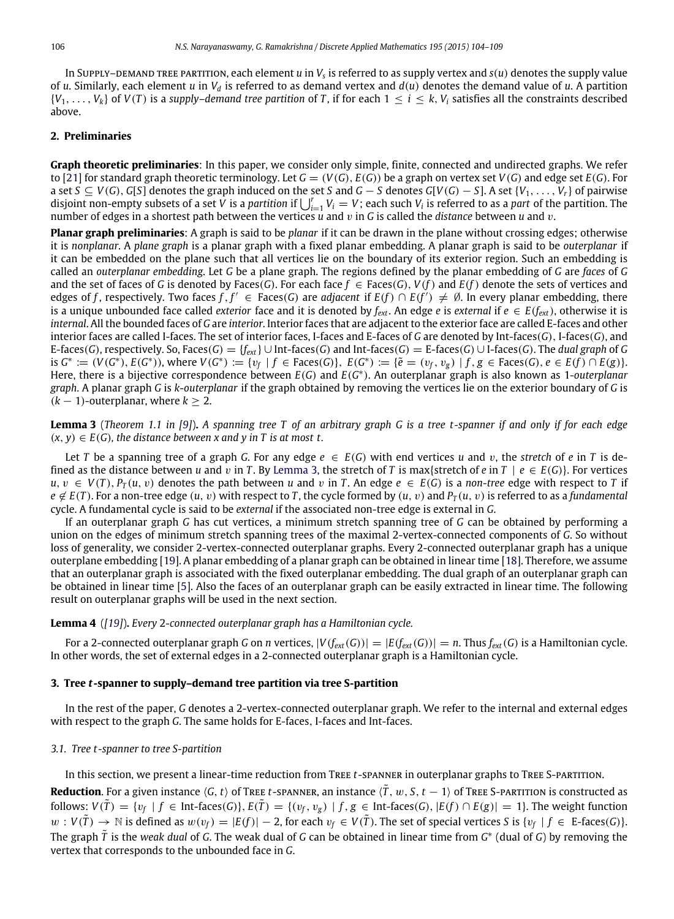In Supply–demand tree partition, each element *u* in  $V_s$  is referred to as supply vertex and  $s(u)$  denotes the supply value of *u*. Similarly, each element *u* in  $V_d$  is referred to as demand vertex and  $d(u)$  denotes the demand value of *u*. A partition  $\{V_1, \ldots, V_k\}$  of  $V(T)$  is a *supply–demand tree partition* of *T*, if for each  $1 \le i \le k$ ,  $V_i$  satisfies all the constraints described above.

#### <span id="page-2-0"></span>**2. Preliminaries**

**Graph theoretic preliminaries**: In this paper, we consider only simple, finite, connected and undirected graphs. We refer to [\[21\]](#page-5-16) for standard graph theoretic terminology. Let  $G = (V(G), E(G))$  be a graph on vertex set  $V(G)$  and edge set  $E(G)$ . For a set  $S \subseteq V(G)$ , G[S] denotes the graph induced on the set S and  $G - S$  denotes G[V(G) - S]. A set {V<sub>1</sub>, ..., V<sub>r</sub>} of pairwise disjoint non-empty subsets of a set *V* is a *partition* if  $\bigcup_{i=1}^r V_i = V$ ; each such  $V_i$  is referred to as a *part* of the partition. The number of edges in a shortest path between the vertices *u* and v in *G* is called the *distance* between *u* and v.

**Planar graph preliminaries**: A graph is said to be *planar* if it can be drawn in the plane without crossing edges; otherwise it is *nonplanar*. A *plane graph* is a planar graph with a fixed planar embedding. A planar graph is said to be *outerplanar* if it can be embedded on the plane such that all vertices lie on the boundary of its exterior region. Such an embedding is called an *outerplanar embedding*. Let *G* be a plane graph. The regions defined by the planar embedding of *G* are *faces* of *G* and the set of faces of *G* is denoted by Faces(*G*). For each face  $f \in \text{Face}(G)$ ,  $V(f)$  and  $E(f)$  denote the sets of vertices and edges of *f*, respectively. Two faces *f*, *f'* ∈ Faces(*G*) are *adjacent* if  $E(f) ∩ E(f') ≠ ∅$ . In every planar embedding, there is a unique unbounded face called *exterior* face and it is denoted by  $f_{ext}$ . An edge *e* is *external* if  $e \in E(f_{ext})$ , otherwise it is *internal*. All the bounded faces of *G* are *interior*. Interior faces that are adjacent to the exterior face are called E-faces and other interior faces are called I-faces. The set of interior faces, I-faces and E-faces of *G* are denoted by Int-faces(*G*), I-faces(*G*), and E-faces(*G*), respectively. So, Faces(*G*) = { $f_{ext}$ } ∪ Int-faces(*G*) and Int-faces(*G*) = E-faces(*G*) ∪ I-faces(*G*). The *dual graph* of *G* is  $G^* := (V(G^*), E(G^*)),$  where  $V(G^*) := \{v_f \mid f \in \text{Faces}(G)\},\ E(G^*) := \{\tilde{e} = (v_f, v_g) \mid f, g \in \text{Faces}(G), e \in E(f) \cap E(g)\}.$ Here, there is a bijective correspondence between *E*(*G*) and *E*(*G* ∗ ). An outerplanar graph is also known as 1-*outerplanar graph*. A planar graph *G* is *k*-*outerplanar* if the graph obtained by removing the vertices lie on the exterior boundary of *G* is  $(k-1)$ -outerplanar, where  $k \geq 2$ .

<span id="page-2-2"></span>**Lemma 3** (*Theorem 1.1 in [\[9\]](#page-5-5)*)**.** *A spanning tree T of an arbitrary graph G is a tree t-spanner if and only if for each edge*  $(x, y) \in E(G)$ , the distance between x and y in T is at most t.

Let *T* be a spanning tree of a graph *G*. For any edge  $e \in E(G)$  with end vertices *u* and *v*, the *stretch* of *e* in *T* is defined as the distance between *u* and *v* in *T*. By [Lemma 3,](#page-2-2) the stretch of *T* is max{stretch of *e* in *T* |  $e \in E(G)$ }. For vertices *u*, *v* ∈ *V*(*T*), *P*<sub>*T*</sub>(*u*, *v*) denotes the path between *u* and *v* in *T*. An edge *e* ∈ *E*(*G*) is a *non-tree* edge with respect to *T* if  $e \notin E(T)$ . For a non-tree edge  $(u, v)$  with respect to *T*, the cycle formed by  $(u, v)$  and  $P_T(u, v)$  is referred to as a *fundamental* cycle. A fundamental cycle is said to be *external* if the associated non-tree edge is external in *G*.

If an outerplanar graph *G* has cut vertices, a minimum stretch spanning tree of *G* can be obtained by performing a union on the edges of minimum stretch spanning trees of the maximal 2-vertex-connected components of *G*. So without loss of generality, we consider 2-vertex-connected outerplanar graphs. Every 2-connected outerplanar graph has a unique outerplane embedding [\[19\]](#page-5-17). A planar embedding of a planar graph can be obtained in linear time [\[18\]](#page-5-18). Therefore, we assume that an outerplanar graph is associated with the fixed outerplanar embedding. The dual graph of an outerplanar graph can be obtained in linear time [\[5\]](#page-5-19). Also the faces of an outerplanar graph can be easily extracted in linear time. The following result on outerplanar graphs will be used in the next section.

#### <span id="page-2-3"></span>**Lemma 4** (*[\[19\]](#page-5-17)*)**.** *Every* 2*-connected outerplanar graph has a Hamiltonian cycle.*

For a 2-connected outerplanar graph *G* on *n* vertices,  $|V(f_{ext}(G))| = |E(f_{ext}(G))| = n$ . Thus  $f_{ext}(G)$  is a Hamiltonian cycle. In other words, the set of external edges in a 2-connected outerplanar graph is a Hamiltonian cycle.

#### **3. Tree** *t***-spanner to supply–demand tree partition via tree S-partition**

In the rest of the paper, *G* denotes a 2-vertex-connected outerplanar graph. We refer to the internal and external edges with respect to the graph *G*. The same holds for E-faces, I-faces and Int-faces.

#### <span id="page-2-1"></span>*3.1. Tree t-spanner to tree S-partition*

In this section, we present a linear-time reduction from Tree *t*-spanner in outerplanar graphs to Tree S-partition.

**Reduction**. For a given instance  $\langle G, t \rangle$  of Tree *t*-spanner, an instance  $\langle T, w, S, t - 1 \rangle$  of Tree S-partition is constructed as follows:  $V(\tilde{T}) = \{v_f | f \in Int\text{-faces}(G)\}\$ ,  $E(\tilde{T}) = \{(v_f, v_g) | f, g \in Int\text{-faces}(G), |E(f) \cap E(g)| = 1\}$ . The weight function  $w: V(\tilde{T}) \to \mathbb{N}$  is defined as  $w(v_f) = |E(f)| - 2$ , for each  $v_f \in V(\tilde{T})$ . The set of special vertices *S* is { $v_f | f \in E$ -faces(*G*)}. The graph *<sup>T</sup>*˜ is the *weak dual* of *<sup>G</sup>*. The weak dual of *<sup>G</sup>* can be obtained in linear time from *<sup>G</sup>* ∗ (dual of *G*) by removing the vertex that corresponds to the unbounded face in *G*.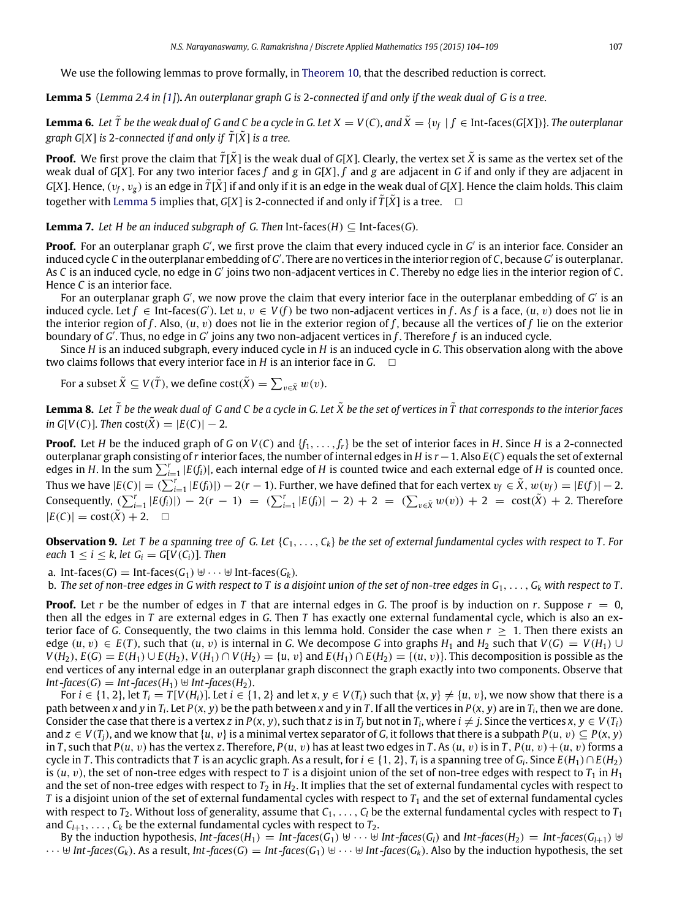<span id="page-3-0"></span>We use the following lemmas to prove formally, in [Theorem 10,](#page-4-1) that the described reduction is correct.

**Lemma 5** (*Lemma 2.4 in [\[1\]](#page-5-20)*)**.** *An outerplanar graph G is* 2*-connected if and only if the weak dual of G is a tree.*

<span id="page-3-2"></span>**Lemma 6.** Let  $\tilde{T}$  be the weak dual of G and C be a cycle in G. Let  $X=V(C)$ , and  $\tilde{X}=\{v_f\mid f\in$  Int-faces(G[X])}. The outerplanar *graph G[X] is 2-connected if and only if*  $\tilde{T}[\tilde{X}]$  *is a tree.* 

**Proof.** We first prove the claim that  $\tilde{T}[\tilde{X}]$  is the weak dual of *G*[X]. Clearly, the vertex set  $\tilde{X}$  is same as the vertex set of the weak dual of *G*[*X*]. For any two interior faces *f* and *g* in *G*[*X*], *f* and *g* are adjacent in *G* if and only if they are adjacent in *G*[*X*]. Hence,  $(v_f, v_g)$  is an edge in  $\tilde{T}$ [*X*<sup> $r</sup>] if and only if it is an edge in the weak dual of$ *G* $[$ *X* $]. Hence the claim holds. This claim$ together with [Lemma 5](#page-3-0) implies that, *G[X]* is 2-connected if and only if  $\tilde{T}[\tilde{X}]$  is a tree.  $\Box$ 

**Lemma 7.** *Let H be an induced subgraph of G. Then Int-faces(H)*  $\subseteq$  Int-faces(*G*)*.* 

Proof. For an outerplanar graph *G'*, we first prove the claim that every induced cycle in *G'* is an interior face. Consider an induced cycle C in the outerplanar embedding of G'. There are no vertices in the interior region of C, because G' is outerplanar. As *C* is an induced cycle, no edge in *G'* joins two non-adjacent vertices in *C*. Thereby no edge lies in the interior region of *C*. Hence *C* is an interior face.

For an outerplanar graph *G'*, we now prove the claim that every interior face in the outerplanar embedding of *G'* is an induced cycle. Let *f* ∈ Int-faces(*G'*). Let *u*, *v* ∈ *V*(*f*) be two non-adjacent vertices in *f*. As *f* is a face, (*u*, *v*) does not lie in the interior region of *f* . Also, (*u*, v) does not lie in the exterior region of *f* , because all the vertices of *f* lie on the exterior boundary of *G'*. Thus, no edge in *G'* joins any two non-adjacent vertices in *f*. Therefore *f* is an induced cycle.

Since *H* is an induced subgraph, every induced cycle in *H* is an induced cycle in *G*. This observation along with the above two claims follows that every interior face in *H* is an interior face in *G*.

<span id="page-3-1"></span>For a subset  $\tilde{X} \subseteq V(\tilde{T})$ , we define  $\text{cost}(\tilde{X}) = \sum_{v \in \tilde{X}} w(v)$ .

**Lemma 8.** Let  $\tilde{T}$  be the weak dual of G and C be a cycle in G. Let  $\tilde{X}$  be the set of vertices in  $\tilde{T}$  that corresponds to the interior faces *in*  $G[V(C)]$ *. Then*  $cost(\tilde{X}) = |E(C)| - 2$ *.* 

**Proof.** Let *H* be the induced graph of *G* on *V*(*C*) and {*f*1, . . . , *fr*} be the set of interior faces in *H*. Since *H* is a 2-connected outerplanar graph consisting of*r* interior faces, the number of internal edges in *H* is *r*−1. Also *E*(*C*) equals the set of external edges in *H*. In the sum  $\sum_{i=1}^{r} |E(f_i)|$ , each internal edge of *H* is counted twice and each external edge of *H* is counted once. Thus we have  $|E(C)| = \overline{(\sum_{i=1}^r |E(f_i)|)} - 2(r-1)$ . Further, we have defined that for each vertex  $v_f \in \tilde{X}$ ,  $w(v_f) = |E(f)| - 2$ . Consequently,  $(\sum_{i=1}^r |E(f_i)|) - 2(r - 1) = (\sum_{i=1}^r |E(f_i)| - 2) + 2 = (\sum_{v \in \tilde{X}} w(v)) + 2 = \text{cost}(\tilde{X}) + 2$ . Therefore  $|E(C)| = \text{cost}(\tilde{X}) + 2.$ 

<span id="page-3-3"></span>**Observation 9.** Let T be a spanning tree of G. Let  $\{C_1, \ldots, C_k\}$  be the set of external fundamental cycles with respect to T. For *each*  $1 \le i \le k$ , *let*  $G_i = G[V(C_i)]$ *. Then* 

a. Int-faces( $G$ ) = Int-faces( $G_1$ )  $\forall \cdots \forall$  Int-faces( $G_k$ ).

b. The set of non-tree edges in G with respect to T is a disjoint union of the set of non-tree edges in  $G_1, \ldots, G_k$  with respect to T.

**Proof.** Let *r* be the number of edges in *T* that are internal edges in *G*. The proof is by induction on *r*. Suppose  $r = 0$ , then all the edges in *T* are external edges in *G*. Then *T* has exactly one external fundamental cycle, which is also an exterior face of *G*. Consequently, the two claims in this lemma hold. Consider the case when  $r \geq 1$ . Then there exists an edge  $(u, v) \in E(T)$ , such that  $(u, v)$  is internal in *G*. We decompose *G* into graphs  $H_1$  and  $H_2$  such that  $V(G) = V(H_1) \cup$  $V(H_2), E(G) = E(H_1) \cup E(H_2), V(H_1) \cap V(H_2) = \{u, v\}$  and  $E(H_1) \cap E(H_2) = \{(u, v)\}\$ . This decomposition is possible as the end vertices of any internal edge in an outerplanar graph disconnect the graph exactly into two components. Observe that *Int*-*faces*(*G*) = *Int*-*faces*(*H*<sub>1</sub>) ⊎ *Int*-*faces*(*H*<sub>2</sub>).

For  $i \in \{1, 2\}$ , let  $T_i = T[V(H_i)]$ . Let  $i \in \{1, 2\}$  and let  $x, y \in V(T_i)$  such that  $\{x, y\} \neq \{u, v\}$ , we now show that there is a path between x and y in  $T_i$ . Let  $P(x, y)$  be the path between x and y in T. If all the vertices in  $P(x, y)$  are in  $T_i$ , then we are done. Consider the case that there is a vertex z in  $P(x, y)$ , such that z is in  $T_j$  but not in  $T_i$ , where  $i \neq j$ . Since the vertices  $x, y \in V(T_i)$ and  $z \in V(T_i)$ , and we know that  $\{u, v\}$  is a minimal vertex separator of *G*, it follows that there is a subpath  $P(u, v) \subseteq P(x, y)$ in *T*, such that  $P(u, v)$  has the vertex *z*. Therefore,  $P(u, v)$  has at least two edges in *T*. As  $(u, v)$  is in *T*,  $P(u, v) + (u, v)$  forms a cycle in *T*. This contradicts that *T* is an acyclic graph. As a result, for  $i \in \{1, 2\}$ ,  $T_i$  is a spanning tree of  $G_i$ . Since  $E(H_1) \cap E(H_2)$ is  $(u, v)$ , the set of non-tree edges with respect to *T* is a disjoint union of the set of non-tree edges with respect to  $T_1$  in  $H_1$ and the set of non-tree edges with respect to  $T_2$  in  $H_2$ . It implies that the set of external fundamental cycles with respect to *T* is a disjoint union of the set of external fundamental cycles with respect to  $T_1$  and the set of external fundamental cycles with respect to  $T_2$ . Without loss of generality, assume that  $C_1, \ldots, C_l$  be the external fundamental cycles with respect to  $T_1$ and  $C_{l+1}, \ldots, C_k$  be the external fundamental cycles with respect to  $T_2$ .

By the induction hypothesis,  $Int\text{-}faces(H_1) = Int\text{-}faces(G_1) \cup \cdots \cup Int\text{-}faces(G_l)$  and  $Int\text{-}faces(H_2) = Int\text{-}faces(G_{l+1}) \cup \cdots \cup \cdots \cup Int\text{-}faces(G_l)$  $\cdots \oplus Int\text{-}faces(G_k)$ . As a result, Int-faces(G) = Int-faces(G<sub>1</sub>)  $\oplus \cdots \oplus Int\text{-}faces(G_k)$ . Also by the induction hypothesis, the set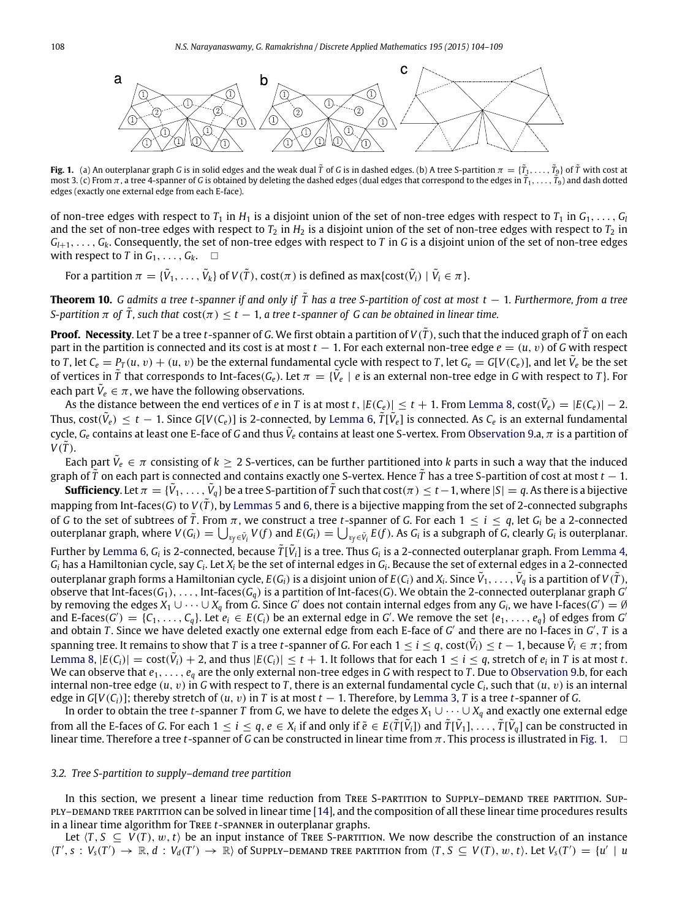<span id="page-4-2"></span>

**Fig. 1.** (a) An outerplanar graph *G* is in solid edges and the weak dual  $\tilde{T}$  of *G* is in dashed edges. (b) A tree S-partition  $\pi = \{\tilde{T}_1,\ldots,\tilde{T}_9\}$  of  $\tilde{T}$  with cost at most 3. (c) From π, a tree 4-spanner of *<sup>G</sup>* is obtained by deleting the dashed edges (dual edges that correspond to the edges in *<sup>T</sup>*˜ <sup>1</sup>, . . . , *<sup>T</sup>*˜ <sup>9</sup>) and dash dotted edges (exactly one external edge from each E-face).

of non-tree edges with respect to  $T_1$  in  $H_1$  is a disjoint union of the set of non-tree edges with respect to  $T_1$  in  $G_1, \ldots, G_l$ and the set of non-tree edges with respect to  $T_2$  in  $H_2$  is a disjoint union of the set of non-tree edges with respect to  $T_2$  in  $G_{l+1}, \ldots, G_k$ . Consequently, the set of non-tree edges with respect to *T* in *G* is a disjoint union of the set of non-tree edges with respect to *T* in  $G_1, \ldots, G_k$ .  $\Box$ 

<span id="page-4-1"></span>For a partition  $\pi = \{\tilde{V}_1,\ldots,\tilde{V}_k\}$  of  $V(\tilde{T}), \mathsf{cost}(\pi)$  is defined as max{ $\mathsf{cost}(\tilde{V}_i) \mid \tilde{V}_i \in \pi\}.$ 

**Theorem 10.** *G admits a tree t-spanner if and only if*  $\tilde{T}$  has a tree S-partition of cost at most t − 1. Furthermore, from a tree *S*-partition  $\pi$  of  $\tilde{T}$ , such that  $cost(\pi) \leq t - 1$ , a tree t-spanner of G can be obtained in linear time.

**Proof. Necessity**. Let *T* be a tree *t*-spanner of *G*. We first obtain a partition of  $V(\tilde{T})$ , such that the induced graph of  $\tilde{T}$  on each part in the partition is connected and its cost is at most *t* − 1. For each external non-tree edge *e* = (*u*, v) of *G* with respect to T, let  $C_e = P_T(u, v) + (u, v)$  be the external fundamental cycle with respect to T, let  $G_e = G[V(C_e)]$ , and let  $\tilde{V}_e$  be the set of vertices in  $\tilde{T}$  that corresponds to Int-faces( $G_e$ ). Let  $\pi = \{V_e \mid e$  is an external non-tree edge in G with respect to T}. For each part  $\tilde{V}_e \in \pi$ , we have the following observations.

As the distance between the end vertices of *e* in *T* is at most *t*,  $|E(C_e)| \le t + 1$ . From [Lemma 8,](#page-3-1) cost $(\tilde{V}_e) = |E(C_e)| - 2$ . Thus,  $cost(\tilde{V}_e) \le t - 1$ . Since  $G[V(C_e)]$  is 2-connected, by [Lemma 6,](#page-3-2)  $\tilde{T}[\tilde{V}_e]$  is connected. As  $C_e$  is an external fundamental cycle,  $G_e$  contains at least one E-face of G and thus  $\tilde{V}_e$  contains at least one S-vertex. From [Observation 9.](#page-3-3)a,  $\pi$  is a partition of  $V(\tilde{T})$ .

Each part  $\tilde{V}_e \in \pi$  consisting of  $k \geq 2$  S-vertices, can be further partitioned into  $k$  parts in such a way that the induced graph of *<sup>T</sup>*˜ on each part is connected and contains exactly one S-vertex. Hence *<sup>T</sup>*˜ has a tree S-partition of cost at most *<sup>t</sup>* − 1.

 $\frac{1}{\pi}\mathbf{S}$  **Sufficiency**. Let  $\pi=\{\tilde{V}_1,\ldots,\tilde{V}_q\}$  be a tree S-partition of  $\tilde{T}$  such that  $\cos(\pi)\leq t-1,$  where  $|S|=q.$  As there is a bijective mapping from Int-faces(*G*) to *<sup>V</sup>*(*T*˜), by [Lemmas 5](#page-3-0) and [6,](#page-3-2) there is a bijective mapping from the set of 2-connected subgraphs of *G* to the set of subtrees of  $\tilde{T}$ . From  $\pi$ , we construct a tree *t*-spanner of *G*. For each  $1 \le i \le q$ , let *G*<sub>*i*</sub> be a 2-connected outerplanar graph, where  $V(G_i)=\bigcup_{v_f\in \tilde{V}_i}V(f)$  and  $E(G_i)=\bigcup_{v_f\in \tilde{V}_i}E(f).$  As  $G_i$  is a subgraph of  $G$ , clearly  $G_i$  is outerplanar. Further by [Lemma 6,](#page-3-2)  $G_i$  is 2-connected, because  $\tilde{T}[\tilde{V}_i]$  is a tree. Thus  $G_i$  is a 2-connected outerplanar graph. From [Lemma 4,](#page-2-3)  $G_i$  has a Hamiltonian cycle, say  $C_i$ . Let  $X_i$  be the set of internal edges in  $G_i$ . Because the set of external edges in a 2-connected outerplanar graph forms a Hamiltonian cycle,  $E(G_i)$  is a disjoint union of  $E(C_i)$  and  $X_i$ . Since  $\tilde{V}_1,\ldots,\tilde{V}_q$  is a partition of  $V(\tilde{T})$ , observe that Int-faces( $G_1$ ), . . . , Int-faces( $G_q$ ) is a partition of Int-faces( $G$ ). We obtain the 2-connected outerplanar graph  $G$ by removing the edges  $X_1\cup\cdots\cup X_q$  from  $G$ . Since  $G'$  does not contain internal edges from any  $G_i$ , we have I-faces( $G')=\emptyset$ and E-faces( $G'$ ) = { $C_1$ , ...,  $C_q$ }. Let  $e_i \in E(C_i)$  be an external edge in G'. We remove the set { $e_1$ , ...,  $e_q$ } of edges from G and obtain *T*. Since we have deleted exactly one external edge from each E-face of *G'* and there are no I-faces in *G'*, *T* is a spanning tree. It remains to show that *T* is a tree *t*-spanner of *G*. For each  $1\leq i\leq q$ , cost $(\tilde{V}_i)\leq t-1$ , because  $\tilde{V}_i\in\pi$ ; from [Lemma 8,](#page-3-1)  $|E(C_i)| = \text{cost}(\tilde{V}_i) + 2$ , and thus  $|E(C_i)| \le t + 1$ . It follows that for each  $1 \le i \le q$ , stretch of  $e_i$  in T is at most t. We can observe that  $e_1, \ldots, e_q$  are the only external non-tree edges in *G* with respect to *T*. Due to [Observation 9.](#page-3-3)b, for each internal non-tree edge  $(u, v)$  in G with respect to T, there is an external fundamental cycle  $C_i$ , such that  $(u, v)$  is an internal edge in  $G[V(C_i)]$ ; thereby stretch of  $(u, v)$  in *T* is at most  $t - 1$ . Therefore, by [Lemma 3,](#page-2-2) *T* is a tree *t*-spanner of *G*.

In order to obtain the tree *t*-spanner *T* from *G*, we have to delete the edges  $X_1 \cup \cdots \cup X_q$  and exactly one external edge from all the E-faces of G. For each  $1\leq i\leq q$ ,  $e\in X_i$  if and only if  $\tilde{e}\in E(\tilde{T}[\tilde{V}_i])$  and  $\tilde{T}[\tilde{V}_1],\ldots,\tilde{T}[\tilde{V}_q]$  can be constructed in linear time. Therefore a tree *t*-spanner of *G* can be constructed in linear time from  $\pi$ . This process is illustrated in [Fig. 1.](#page-4-2)  $\Box$ 

#### <span id="page-4-0"></span>*3.2. Tree S-partition to supply–demand tree partition*

In this section, we present a linear time reduction from TREE S-PARTITION to SUPPLY-DEMAND TREE PARTITION. SUP-ply–demand tree partition can be solved in linear time [\[14\]](#page-5-15), and the composition of all these linear time procedures results in a linear time algorithm for Tree *t*-spanner in outerplanar graphs.

Let  $\langle T, S \subseteq V(T), w, t \rangle$  be an input instance of TREE S-PARTITION. We now describe the construction of an instance  $\langle T', s : V_s(T') \to \mathbb{R}, d : V_d(T') \to \mathbb{R} \rangle$  of Supply-demand tree partition from  $\langle T, S \subseteq V(T), w, t \rangle$ . Let  $V_s(T') = \{u' \mid u \in V_s(T')\}$